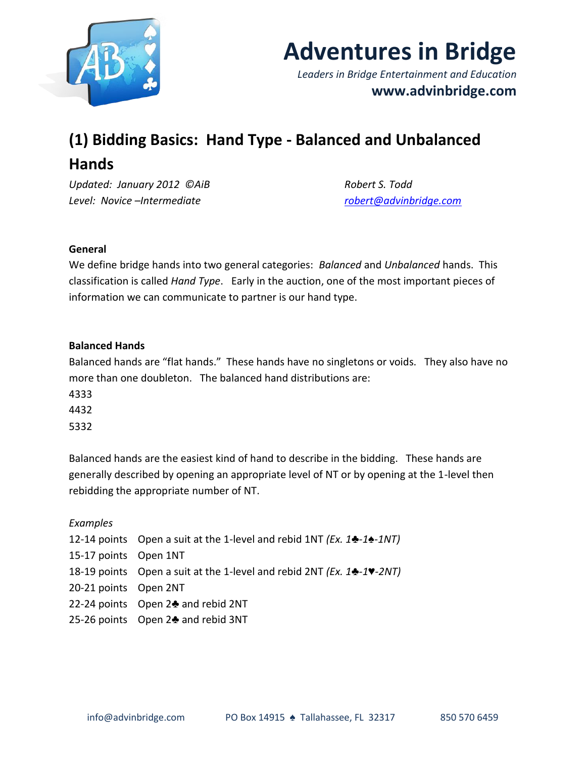



*Leaders in Bridge Entertainment and Education* **www.advinbridge.com**

# **(1) Bidding Basics: Hand Type - Balanced and Unbalanced Hands**

*Updated: January 2012 ©AiB Robert S. Todd Level: Novice –Intermediate [robert@advinbridge.com](mailto:robert@advinbridge.com)*

# **General**

We define bridge hands into two general categories: *Balanced* and *Unbalanced* hands. This classification is called *Hand Type*. Early in the auction, one of the most important pieces of information we can communicate to partner is our hand type.

# **Balanced Hands**

Balanced hands are "flat hands." These hands have no singletons or voids. They also have no more than one doubleton. The balanced hand distributions are:

4333

4432

5332

Balanced hands are the easiest kind of hand to describe in the bidding. These hands are generally described by opening an appropriate level of NT or by opening at the 1-level then rebidding the appropriate number of NT.

#### *Examples*

|                       | 12-14 points Open a suit at the 1-level and rebid 1NT (Ex. $1\div 1\div 1N$ )                     |
|-----------------------|---------------------------------------------------------------------------------------------------|
| 15-17 points Open 1NT |                                                                                                   |
|                       | 18-19 points Open a suit at the 1-level and rebid 2NT ( <i>Ex.</i> $1\clubsuit$ -1 <b>V</b> -2NT) |
| 20-21 points Open 2NT |                                                                                                   |
|                       | 22-24 points Open 2♣ and rebid 2NT                                                                |
|                       | 25-26 points Open 2♣ and rebid 3NT                                                                |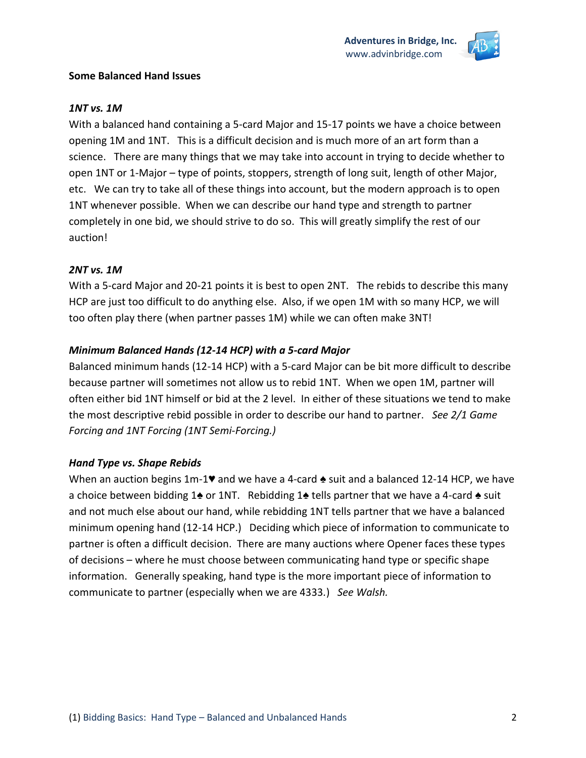

#### **Some Balanced Hand Issues**

# *1NT vs. 1M*

With a balanced hand containing a 5-card Major and 15-17 points we have a choice between opening 1M and 1NT. This is a difficult decision and is much more of an art form than a science. There are many things that we may take into account in trying to decide whether to open 1NT or 1-Major – type of points, stoppers, strength of long suit, length of other Major, etc. We can try to take all of these things into account, but the modern approach is to open 1NT whenever possible. When we can describe our hand type and strength to partner completely in one bid, we should strive to do so. This will greatly simplify the rest of our auction!

# *2NT vs. 1M*

With a 5-card Major and 20-21 points it is best to open 2NT. The rebids to describe this many HCP are just too difficult to do anything else. Also, if we open 1M with so many HCP, we will too often play there (when partner passes 1M) while we can often make 3NT!

# *Minimum Balanced Hands (12-14 HCP) with a 5-card Major*

Balanced minimum hands (12-14 HCP) with a 5-card Major can be bit more difficult to describe because partner will sometimes not allow us to rebid 1NT. When we open 1M, partner will often either bid 1NT himself or bid at the 2 level. In either of these situations we tend to make the most descriptive rebid possible in order to describe our hand to partner. *See 2/1 Game Forcing and 1NT Forcing (1NT Semi-Forcing.)*

# *Hand Type vs. Shape Rebids*

When an auction begins 1m-1♥ and we have a 4-card  $\triangle$  suit and a balanced 12-14 HCP, we have a choice between bidding 1♠ or 1NT. Rebidding 1♠ tells partner that we have a 4-card ♠ suit and not much else about our hand, while rebidding 1NT tells partner that we have a balanced minimum opening hand (12-14 HCP.) Deciding which piece of information to communicate to partner is often a difficult decision. There are many auctions where Opener faces these types of decisions – where he must choose between communicating hand type or specific shape information. Generally speaking, hand type is the more important piece of information to communicate to partner (especially when we are 4333*.*) *See Walsh.*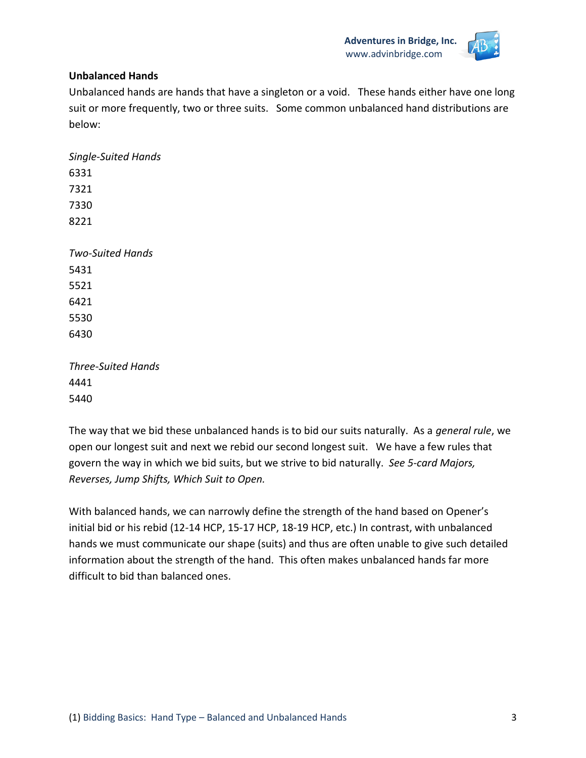

#### **Unbalanced Hands**

Unbalanced hands are hands that have a singleton or a void. These hands either have one long suit or more frequently, two or three suits. Some common unbalanced hand distributions are below:

*Three-Suited Hands* 4441 5440

The way that we bid these unbalanced hands is to bid our suits naturally. As a *general rule*, we open our longest suit and next we rebid our second longest suit. We have a few rules that govern the way in which we bid suits, but we strive to bid naturally. *See 5-card Majors, Reverses, Jump Shifts, Which Suit to Open.*

With balanced hands, we can narrowly define the strength of the hand based on Opener's initial bid or his rebid (12-14 HCP, 15-17 HCP, 18-19 HCP, etc.) In contrast, with unbalanced hands we must communicate our shape (suits) and thus are often unable to give such detailed information about the strength of the hand. This often makes unbalanced hands far more difficult to bid than balanced ones.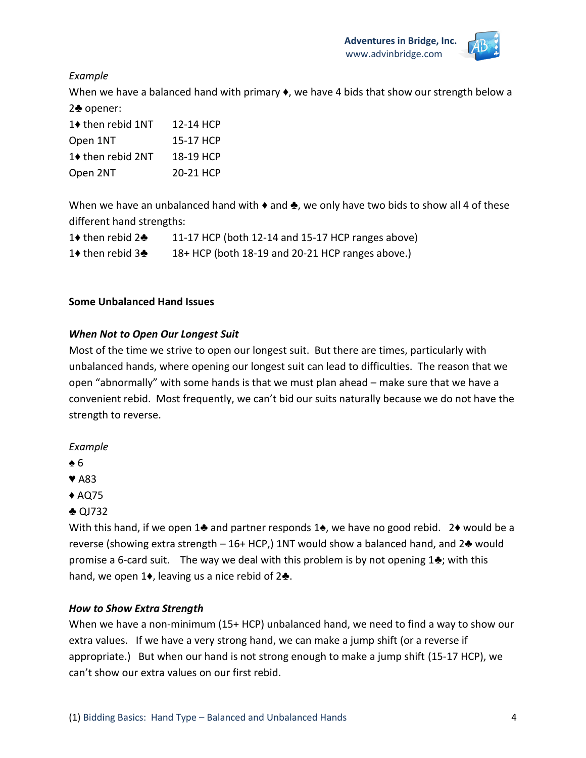

# *Example*

When we have a balanced hand with primary  $\bullet$ , we have 4 bids that show our strength below a 2♣ opener:

| 1♦ then rebid 1NT | 12-14 HCP |
|-------------------|-----------|
| Open 1NT          | 15-17 HCP |
| 1♦ then rebid 2NT | 18-19 HCP |
| Open 2NT          | 20-21 HCP |

When we have an unbalanced hand with  $\bullet$  and  $\clubsuit$ , we only have two bids to show all 4 of these different hand strengths:

| 1♦ then rebid 2♣           | 11-17 HCP (both 12-14 and 15-17 HCP ranges above) |
|----------------------------|---------------------------------------------------|
| 1♦ then rebid $3\clubsuit$ | 18+ HCP (both 18-19 and 20-21 HCP ranges above.)  |

#### **Some Unbalanced Hand Issues**

#### *When Not to Open Our Longest Suit*

Most of the time we strive to open our longest suit. But there are times, particularly with unbalanced hands, where opening our longest suit can lead to difficulties. The reason that we open "abnormally" with some hands is that we must plan ahead – make sure that we have a convenient rebid. Most frequently, we can't bid our suits naturally because we do not have the strength to reverse.

#### *Example*

- ♠ 6
- ♥ A83
- ♦ AQ75
- ♣ QJ732

With this hand, if we open 1♣ and partner responds 1♠, we have no good rebid. 2♦ would be a reverse (showing extra strength – 16+ HCP,) 1NT would show a balanced hand, and  $2\clubsuit$  would promise a 6-card suit. The way we deal with this problem is by not opening  $1\clubsuit$ ; with this hand, we open 1♦, leaving us a nice rebid of 2♣.

#### *How to Show Extra Strength*

When we have a non-minimum (15+ HCP) unbalanced hand, we need to find a way to show our extra values. If we have a very strong hand, we can make a jump shift (or a reverse if appropriate.) But when our hand is not strong enough to make a jump shift (15-17 HCP), we can't show our extra values on our first rebid.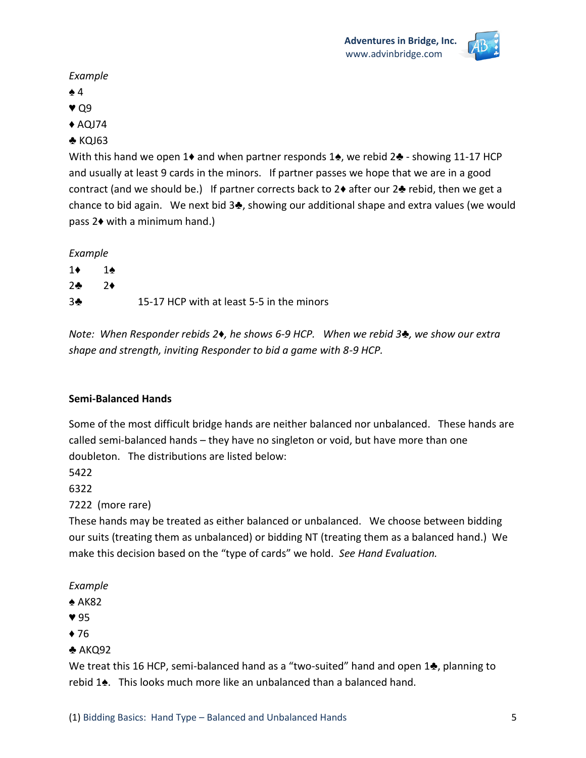# *Example*

- ♠ 4
- ♥ Q9
- $\triangle$  AQJ74

# ♣ KQJ63

With this hand we open 1♦ and when partner responds 1♦, we rebid 2♣ - showing 11-17 HCP and usually at least 9 cards in the minors. If partner passes we hope that we are in a good contract (and we should be.) If partner corrects back to 2♦ after our 2♣ rebid, then we get a chance to bid again. We next bid 3♣, showing our additional shape and extra values (we would pass 2♦ with a minimum hand.)

*Example*

| $1\bullet$    | 1♠           |                                           |
|---------------|--------------|-------------------------------------------|
| $2$ $\bullet$ | $\partial$ → |                                           |
| 34            |              | 15-17 HCP with at least 5-5 in the minors |

*Note: When Responder rebids 2♦, he shows 6-9 HCP. When we rebid 3♣, we show our extra shape and strength, inviting Responder to bid a game with 8-9 HCP.* 

#### **Semi-Balanced Hands**

Some of the most difficult bridge hands are neither balanced nor unbalanced. These hands are called semi-balanced hands – they have no singleton or void, but have more than one doubleton. The distributions are listed below:

5422

6322

7222 (more rare)

These hands may be treated as either balanced or unbalanced. We choose between bidding our suits (treating them as unbalanced) or bidding NT (treating them as a balanced hand.) We make this decision based on the "type of cards" we hold. *See Hand Evaluation.*

*Example*

- ♠ AK82
- ♥ 95
- $76$
- $\triangle$  AKQ92

We treat this 16 HCP, semi-balanced hand as a "two-suited" hand and open 1♣, planning to rebid 1♠. This looks much more like an unbalanced than a balanced hand.